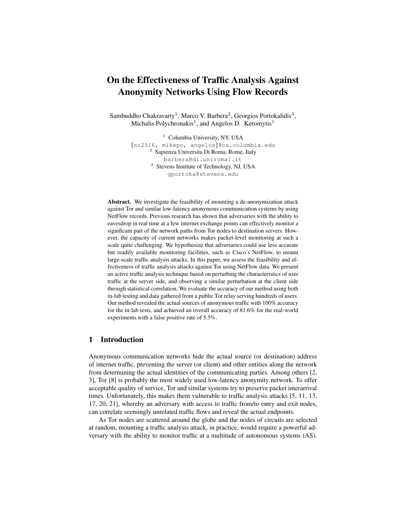# On the Effectiveness of Traffic Analysis Against Anonymity Networks Using Flow Records

Sambuddho Chakravarty<sup>1</sup>, Marco V. Barbera<sup>2</sup>, Georgios Portokalidis<sup>3</sup>, Michalis Polychronakis<sup>1</sup>, and Angelos D. Keromytis<sup>1</sup>

> <sup>1</sup> Columbia University, NY, USA {sc2516, mikepo, angelos}@cs.columbia.edu <sup>2</sup> Sapienza Universita Di Roma, Rome, Italy barbera@di.uniroma1.it <sup>3</sup> Stevens Institute of Technology, NJ, USA gportoka@stevens.edu

Abstract. We investigate the feasibility of mounting a de-anonymization attack against Tor and similar low-latency anonymous communication systems by using NetFlow records. Previous research has shown that adversaries with the ability to eavesdrop in real time at a few internet exchange points can effectively monitor a significant part of the network paths from Tor nodes to destination servers. However, the capacity of current networks makes packet-level monitoring at such a scale quite challenging. We hypothesize that adversaries could use less accurate but readily available monitoring facilities, such as Cisco's NetFlow, to mount large-scale traffic analysis attacks. In this paper, we assess the feasibility and effectiveness of traffic analysis attacks against Tor using NetFlow data. We present an active traffic analysis technique based on perturbing the characteristics of user traffic at the server side, and observing a similar perturbation at the client side through statistical correlation. We evaluate the accuracy of our method using both in-lab testing and data gathered from a public Tor relay serving hundreds of users. Our method revealed the actual sources of anonymous traffic with 100% accuracy for the in-lab tests, and achieved an overall accuracy of 81.6% for the real-world experiments with a false positive rate of 5.5%.

# 1 Introduction

Anonymous communication networks hide the actual source (or destination) address of internet traffic, preventing the server (or client) and other entities along the network from determining the actual identities of the communicating parties. Among others [2, 3], Tor [8] is probably the most widely used low-latency anonymity network. To offer acceptable quality of service, Tor and similar systems try to preserve packet interarrival times. Unfortunately, this makes them vulnerable to traffic analysis attacks [5, 11, 13, 17, 20, 21], whereby an adversary with access to traffic from/to entry and exit nodes, can correlate seemingly unrelated traffic flows and reveal the actual endpoints.

As Tor nodes are scattered around the globe and the nodes of circuits are selected at random, mounting a traffic analysis attack, in practice, would require a powerful adversary with the ability to monitor traffic at a multitude of autonomous systems (AS).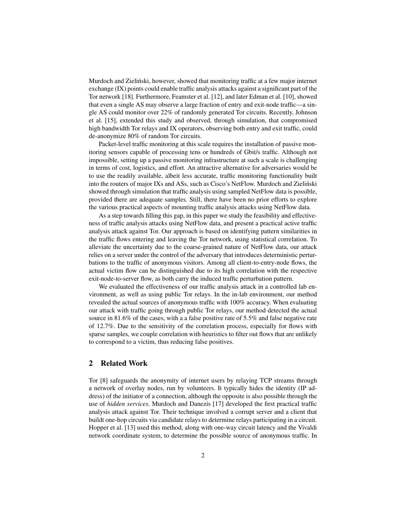Murdoch and Zieliński, however, showed that monitoring traffic at a few major internet exchange (IX) points could enable traffic analysis attacks against a significant part of the Tor network [18]. Furthermore, Feamster et al. [12], and later Edman et al. [10], showed that even a single AS may observe a large fraction of entry and exit-node traffic—a single AS could monitor over 22% of randomly generated Tor circuits. Recently, Johnson et al. [15], extended this study and observed, through simulation, that compromised high bandwidth Tor relays and IX operators, observing both entry and exit traffic, could de-anonymize 80% of random Tor circuits.

Packet-level traffic monitoring at this scale requires the installation of passive monitoring sensors capable of processing tens or hundreds of Gbit/s traffic. Although not impossible, setting up a passive monitoring infrastructure at such a scale is challenging in terms of cost, logistics, and effort. An attractive alternative for adversaries would be to use the readily available, albeit less accurate, traffic monitoring functionality built into the routers of major IXs and ASs, such as Cisco's NetFlow. Murdoch and Zielinski ´ showed through simulation that traffic analysis using sampled NetFlow data is possible, provided there are adequate samples. Still, there have been no prior efforts to explore the various practical aspects of mounting traffic analysis attacks using NetFlow data.

As a step towards filling this gap, in this paper we study the feasibility and effectiveness of traffic analysis attacks using NetFlow data, and present a practical active traffic analysis attack against Tor. Our approach is based on identifying pattern similarities in the traffic flows entering and leaving the Tor network, using statistical correlation. To alleviate the uncertainty due to the coarse-grained nature of NetFlow data, our attack relies on a server under the control of the adversary that introduces deterministic perturbations to the traffic of anonymous visitors. Among all client-to-entry-node flows, the actual victim flow can be distinguished due to its high correlation with the respective exit-node-to-server flow, as both carry the induced traffic perturbation pattern.

We evaluated the effectiveness of our traffic analysis attack in a controlled lab environment, as well as using public Tor relays. In the in-lab environment, our method revealed the actual sources of anonymous traffic with 100% accuracy. When evaluating our attack with traffic going through public Tor relays, our method detected the actual source in 81.6% of the cases, with a a false positive rate of 5.5% and false negative rate of 12.7%. Due to the sensitivity of the correlation process, especially for flows with sparse samples, we couple correlation with heuristics to filter out flows that are unlikely to correspond to a victim, thus reducing false positives.

## 2 Related Work

Tor [8] safeguards the anonymity of internet users by relaying TCP streams through a network of overlay nodes, run by volunteers. It typically hides the identity (IP address) of the initiator of a connection, although the opposite is also possible through the use of *hidden services*. Murdoch and Danezis [17] developed the first practical traffic analysis attack against Tor. Their technique involved a corrupt server and a client that buildt one-hop circuits via candidate relays to determine relays participating in a circuit. Hopper et al. [13] used this method, along with one-way circuit latency and the Vivaldi network coordinate system, to determine the possible source of anonymous traffic. In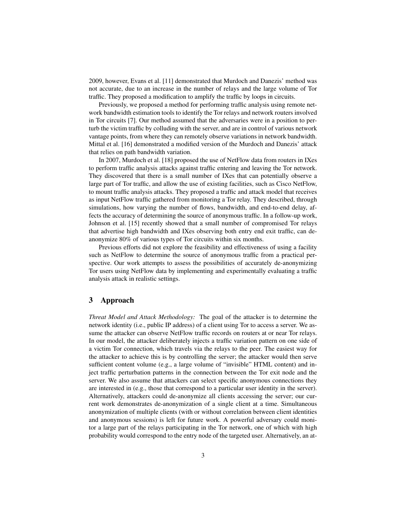2009, however, Evans et al. [11] demonstrated that Murdoch and Danezis' method was not accurate, due to an increase in the number of relays and the large volume of Tor traffic. They proposed a modification to amplify the traffic by loops in circuits.

Previously, we proposed a method for performing traffic analysis using remote network bandwidth estimation tools to identify the Tor relays and network routers involved in Tor circuits [7]. Our method assumed that the adversaries were in a position to perturb the victim traffic by colluding with the server, and are in control of various network vantage points, from where they can remotely observe variations in network bandwidth. Mittal et al. [16] demonstrated a modified version of the Murdoch and Danezis' attack that relies on path bandwidth variation.

In 2007, Murdoch et al. [18] proposed the use of NetFlow data from routers in IXes to perform traffic analysis attacks against traffic entering and leaving the Tor network. They discovered that there is a small number of IXes that can potentially observe a large part of Tor traffic, and allow the use of existing facilities, such as Cisco NetFlow, to mount traffic analysis attacks. They proposed a traffic and attack model that receives as input NetFlow traffic gathered from monitoring a Tor relay. They described, through simulations, how varying the number of flows, bandwidth, and end-to-end delay, affects the accuracy of determining the source of anonymous traffic. In a follow-up work, Johnson et al. [15] recently showed that a small number of compromised Tor relays that advertise high bandwidth and IXes observing both entry end exit traffic, can deanonymize 80% of various types of Tor circuits within six months.

Previous efforts did not explore the feasibility and effectiveness of using a facility such as NetFlow to determine the source of anonymous traffic from a practical perspective. Our work attempts to assess the possibilities of accurately de-anonymizing Tor users using NetFlow data by implementing and experimentally evaluating a traffic analysis attack in realistic settings.

#### 3 Approach

*Threat Model and Attack Methodology:* The goal of the attacker is to determine the network identity (i.e., public IP address) of a client using Tor to access a server. We assume the attacker can observe NetFlow traffic records on routers at or near Tor relays. In our model, the attacker deliberately injects a traffic variation pattern on one side of a victim Tor connection, which travels via the relays to the peer. The easiest way for the attacker to achieve this is by controlling the server; the attacker would then serve sufficient content volume (e.g., a large volume of "invisible" HTML content) and inject traffic perturbation patterns in the connection between the Tor exit node and the server. We also assume that attackers can select specific anonymous connections they are interested in (e.g., those that correspond to a particular user identity in the server). Alternatively, attackers could de-anonymize all clients accessing the server; our current work demonstrates de-anonymization of a single client at a time. Simultaneous anonymization of multiple clients (with or without correlation between client identities and anonymous sessions) is left for future work. A powerful adversary could monitor a large part of the relays participating in the Tor network, one of which with high probability would correspond to the entry node of the targeted user. Alternatively, an at-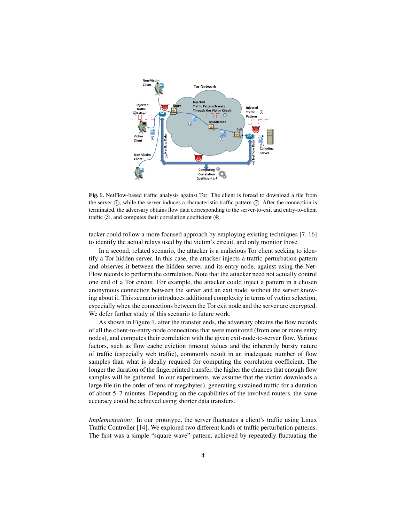

Fig. 1. NetFlow-based traffic analysis against Tor: The client is forced to download a file from the server (I), while the server induces a characteristic traffic pattern (2). After the connection is terminated, the adversary obtains flow data corresponding to the server-to-exit and entry-to-client traffic (3), and computes their correlation coefficient (4).

tacker could follow a more focused approach by employing existing techniques [7, 16] to identify the actual relays used by the victim's circuit, and only monitor those.

In a second, related scenario, the attacker is a malicious Tor client seeking to identify a Tor hidden server. In this case, the attacker injects a traffic perturbation pattern and observes it between the hidden server and its entry node, against using the Net-Flow records to perform the correlation. Note that the attacker need not actually control one end of a Tor circuit. For example, the attacker could inject a pattern in a chosen anonymous connection between the server and an exit node, without the server knowing about it. This scenario introduces additional complexity in terms of victim selection, especially when the connections between the Tor exit node and the server are encrypted. We defer further study of this scenario to future work.

As shown in Figure 1, after the transfer ends, the adversary obtains the flow records of all the client-to-entry-node connections that were monitored (from one or more entry nodes), and computes their correlation with the given exit-node-to-server flow. Various factors, such as flow cache eviction timeout values and the inherently bursty nature of traffic (especially web traffic), commonly result in an inadequate number of flow samples than what is ideally required for computing the correlation coefficient. The longer the duration of the fingerprinted transfer, the higher the chances that enough flow samples will be gathered. In our experiments, we assume that the victim downloads a large file (in the order of tens of megabytes), generating sustained traffic for a duration of about 5–7 minutes. Depending on the capabilities of the involved routers, the same accuracy could be achieved using shorter data transfers.

*Implementation:* In our prototype, the server fluctuates a client's traffic using Linux Traffic Controller [14]. We explored two different kinds of traffic perturbation patterns. The first was a simple "square wave" pattern, achieved by repeatedly fluctuating the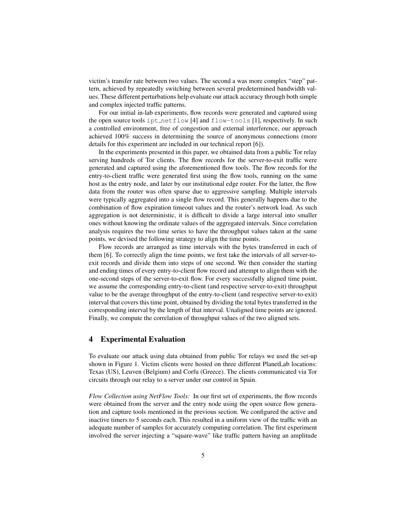victim's transfer rate between two values. The second a was more complex "step" pattern, achieved by repeatedly switching between several predetermined bandwidth values. These different perturbations help evaluate our attack accuracy through both simple and complex injected traffic patterns.

For our initial in-lab experiments, flow records were generated and captured using the open source tools  $ipt{\text{-}netflow}$  [4] and  $flow{\text{-}tools}$  [1], respectively. In such a controlled environment, free of congestion and external interference, our approach achieved 100% success in determining the source of anonymous connections (more details for this experiment are included in our technical report [6]).

In the experiments presented in this paper, we obtained data from a public Tor relay serving hundreds of Tor clients. The flow records for the server-to-exit traffic were generated and captured using the aforementioned flow tools. The flow records for the entry-to-client traffic were generated first using the flow tools, running on the same host as the entry node, and later by our institutional edge router. For the latter, the flow data from the router was often sparse due to aggressive sampling. Multiple intervals were typically aggregated into a single flow record. This generally happens due to the combination of flow expiration timeout values and the router's network load. As such aggregation is not deterministic, it is difficult to divide a large interval into smaller ones without knowing the ordinate values of the aggregated intervals. Since correlation analysis requires the two time series to have the throughput values taken at the same points, we devised the following strategy to align the time points.

Flow records are arranged as time intervals with the bytes transferred in each of them [6]. To correctly align the time points, we first take the intervals of all server-toexit records and divide them into steps of one second. We then consider the starting and ending times of every entry-to-client flow record and attempt to align them with the one-second steps of the server-to-exit flow. For every successfully aligned time point, we assume the corresponding entry-to-client (and respective server-to-exit) throughput value to be the average throughput of the entry-to-client (and respective server-to-exit) interval that covers this time point, obtained by dividing the total bytes transferred in the corresponding interval by the length of that interval. Unaligned time points are ignored. Finally, we compute the correlation of throughput values of the two aligned sets.

## 4 Experimental Evaluation

To evaluate our attack using data obtained from public Tor relays we used the set-up shown in Figure 1. Victim clients were hosted on three different PlanetLab locations: Texas (US), Leuven (Belgium) and Corfu (Greece). The clients communicated via Tor circuits through our relay to a server under our control in Spain.

*Flow Collection using NetFlow Tools:* In our first set of experiments, the flow records were obtained from the server and the entry node using the open source flow generation and capture tools mentioned in the previous section. We configured the active and inactive timers to 5 seconds each. This resulted in a uniform view of the traffic with an adequate number of samples for accurately computing correlation. The first experiment involved the server injecting a "square-wave" like traffic pattern having an amplitude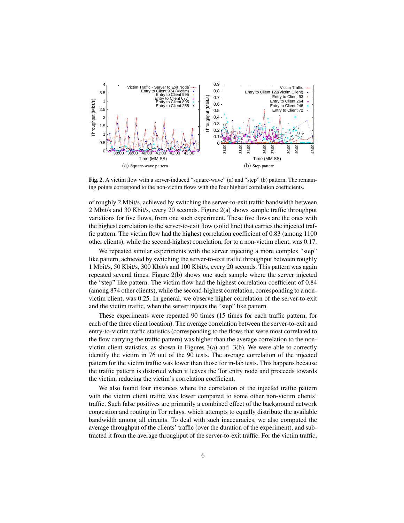

Fig. 2. A victim flow with a server-induced "square-wave" (a) and "step" (b) pattern. The remaining points correspond to the non-victim flows with the four highest correlation coefficients.

of roughly 2 Mbit/s, achieved by switching the server-to-exit traffic bandwidth between 2 Mbit/s and 30 Kbit/s, every 20 seconds. Figure 2(a) shows sample traffic throughput variations for five flows, from one such experiment. These five flows are the ones with the highest correlation to the server-to-exit flow (solid line) that carries the injected traffic pattern. The victim flow had the highest correlation coefficient of 0.83 (among 1100 other clients), while the second-highest correlation, for to a non-victim client, was 0.17.

We repeated similar experiments with the server injecting a more complex "step" like pattern, achieved by switching the server-to-exit traffic throughput between roughly 1 Mbit/s, 50 Kbit/s, 300 Kbit/s and 100 Kbit/s, every 20 seconds. This pattern was again repeated several times. Figure 2(b) shows one such sample where the server injected the "step" like pattern. The victim flow had the highest correlation coefficient of 0.84 (among 874 other clients), while the second-highest correlation, corresponding to a nonvictim client, was 0.25. In general, we observe higher correlation of the server-to-exit and the victim traffic, when the server injects the "step" like pattern.

These experiments were repeated 90 times (15 times for each traffic pattern, for each of the three client location). The average correlation between the server-to-exit and entry-to-victim traffic statistics (corresponding to the flows that were most correlated to the flow carrying the traffic pattern) was higher than the average correlation to the nonvictim client statistics, as shown in Figures  $3(a)$  and  $3(b)$ . We were able to correctly identify the victim in 76 out of the 90 tests. The average correlation of the injected pattern for the victim traffic was lower than those for in-lab tests. This happens because the traffic pattern is distorted when it leaves the Tor entry node and proceeds towards the victim, reducing the victim's correlation coefficient.

We also found four instances where the correlation of the injected traffic pattern with the victim client traffic was lower compared to some other non-victim clients' traffic. Such false positives are primarily a combined effect of the background network congestion and routing in Tor relays, which attempts to equally distribute the available bandwidth among all circuits. To deal with such inaccuracies, we also computed the average throughput of the clients' traffic (over the duration of the experiment), and subtracted it from the average throughput of the server-to-exit traffic. For the victim traffic,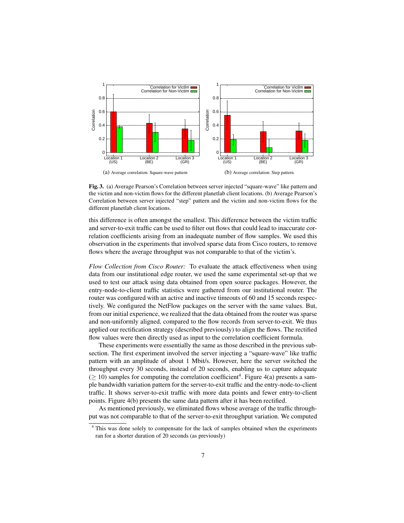

Fig. 3. (a) Average Pearson's Correlation between server injected "square-wave" like pattern and the victim and non-victim flows for the different planetlab client locations. (b) Average Pearson's Correlation between server injected "step" pattern and the victim and non-victim flows for the different planetlab client locations.

this difference is often amongst the smallest. This difference between the victim traffic and server-to-exit traffic can be used to filter out flows that could lead to inaccurate correlation coefficients arising from an inadequate number of flow samples. We used this observation in the experiments that involved sparse data from Cisco routers, to remove flows where the average throughput was not comparable to that of the victim's.

*Flow Collection from Cisco Router:* To evaluate the attack effectiveness when using data from our institutional edge router, we used the same experimental set-up that we used to test our attack using data obtained from open source packages. However, the entry-node-to-client traffic statistics were gathered from our institutional router. The router was configured with an active and inactive timeouts of 60 and 15 seconds respectively. We configured the NetFlow packages on the server with the same values. But, from our initial experience, we realized that the data obtained from the router was sparse and non-uniformly aligned, compared to the flow records from server-to-exit. We thus applied our rectification strategy (described previously) to align the flows. The rectified flow values were then directly used as input to the correlation coefficient formula.

These experiments were essentially the same as those described in the previous subsection. The first experiment involved the server injecting a "square-wave" like traffic pattern with an amplitude of about 1 Mbit/s. However, here the server switched the throughput every 30 seconds, instead of 20 seconds, enabling us to capture adequate  $( \geq 10)$  samples for computing the correlation coefficient<sup>4</sup>. Figure 4(a) presents a sample bandwidth variation pattern for the server-to-exit traffic and the entry-node-to-client traffic. It shows server-to-exit traffic with more data points and fewer entry-to-client points. Figure 4(b) presents the same data pattern after it has been rectified.

As mentioned previously, we eliminated flows whose average of the traffic throughput was not comparable to that of the server-to-exit throughput variation. We computed

<sup>&</sup>lt;sup>4</sup> This was done solely to compensate for the lack of samples obtained when the experiments ran for a shorter duration of 20 seconds (as previously)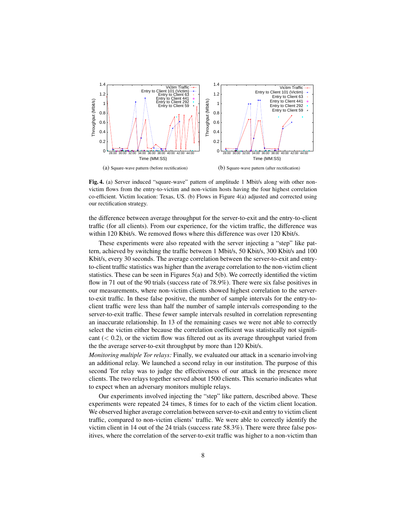

Fig. 4. (a) Server induced "square-wave" pattern of amplitude 1 Mbit/s along with other nonvictim flows from the entry-to-victim and non-victim hosts having the four highest correlation co-efficient. Victim location: Texas, US. (b) Flows in Figure 4(a) adjusted and corrected using our rectification strategy.

the difference between average throughput for the server-to-exit and the entry-to-client traffic (for all clients). From our experience, for the victim traffic, the difference was within 120 Kbit/s. We removed flows where this difference was over 120 Kbit/s.

These experiments were also repeated with the server injecting a "step" like pattern, achieved by switching the traffic between 1 Mbit/s, 50 Kbit/s, 300 Kbit/s and 100 Kbit/s, every 30 seconds. The average correlation between the server-to-exit and entryto-client traffic statistics was higher than the average correlation to the non-victim client statistics. These can be seen in Figures  $5(a)$  and  $5(b)$ . We correctly identified the victim flow in 71 out of the 90 trials (success rate of 78.9%). There were six false positives in our measurements, where non-victim clients showed highest correlation to the serverto-exit traffic. In these false positive, the number of sample intervals for the entry-toclient traffic were less than half the number of sample intervals corresponding to the server-to-exit traffic. These fewer sample intervals resulted in correlation representing an inaccurate relationship. In 13 of the remaining cases we were not able to correctly select the victim either because the correlation coefficient was statistically not significant  $( $0.2$ ), or the victim flow was filtered out as its average throughput varied from$ the the average server-to-exit throughput by more than 120 Kbit/s.

*Monitoring multiple Tor relays:* Finally, we evaluated our attack in a scenario involving an additional relay. We launched a second relay in our institution. The purpose of this second Tor relay was to judge the effectiveness of our attack in the presence more clients. The two relays together served about 1500 clients. This scenario indicates what to expect when an adversary monitors multiple relays.

Our experiments involved injecting the "step" like pattern, described above. These experiments were repeated 24 times, 8 times for to each of the victim client location. We observed higher average correlation between server-to-exit and entry to victim client traffic, compared to non-victim clients' traffic. We were able to correctly identify the victim client in 14 out of the 24 trials (success rate 58.3%). There were three false positives, where the correlation of the server-to-exit traffic was higher to a non-victim than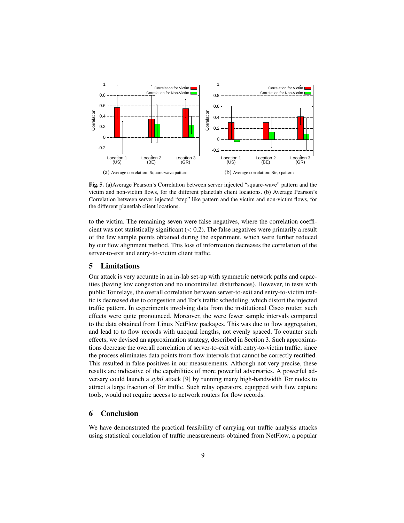

Fig. 5. (a)Average Pearson's Correlation between server injected "square-wave" pattern and the victim and non-victim flows, for the different planetlab client locations. (b) Average Pearson's Correlation between server injected "step" like pattern and the victim and non-victim flows, for the different planetlab client locations.

to the victim. The remaining seven were false negatives, where the correlation coefficient was not statistically significant  $(< 0.2$ ). The false negatives were primarily a result of the few sample points obtained during the experiment, which were further reduced by our flow alignment method. This loss of information decreases the correlation of the server-to-exit and entry-to-victim client traffic.

#### 5 Limitations

Our attack is very accurate in an in-lab set-up with symmetric network paths and capacities (having low congestion and no uncontrolled disturbances). However, in tests with public Tor relays, the overall correlation between server-to-exit and entry-to-victim traffic is decreased due to congestion and Tor's traffic scheduling, which distort the injected traffic pattern. In experiments involving data from the institutional Cisco router, such effects were quite pronounced. Moreover, the were fewer sample intervals compared to the data obtained from Linux NetFlow packages. This was due to flow aggregation, and lead to to flow records with unequal lengths, not evenly spaced. To counter such effects, we devised an approximation strategy, described in Section 3. Such approximations decrease the overall correlation of server-to-exit with entry-to-victim traffic, since the process eliminates data points from flow intervals that cannot be correctly rectified. This resulted in false positives in our measurements. Although not very precise, these results are indicative of the capabilities of more powerful adversaries. A powerful adversary could launch a *sybil* attack [9] by running many high-bandwidth Tor nodes to attract a large fraction of Tor traffic. Such relay operators, equipped with flow capture tools, would not require access to network routers for flow records.

# 6 Conclusion

We have demonstrated the practical feasibility of carrying out traffic analysis attacks using statistical correlation of traffic measurements obtained from NetFlow, a popular